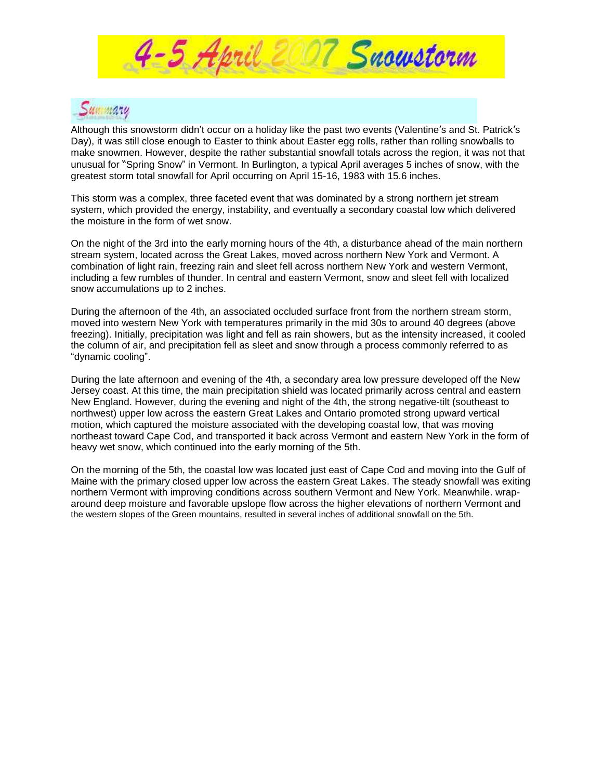



Although this snowstorm didn't occur on a holiday like the past two events (Valentine's and St. Patrick's Day), it was still close enough to Easter to think about Easter egg rolls, rather than rolling snowballs to make snowmen. However, despite the rather substantial snowfall totals across the region, it was not that unusual for "Spring Snow" in Vermont. In Burlington, a typical April averages 5 inches of snow, with the greatest storm total snowfall for April occurring on April 15-16, 1983 with 15.6 inches.

This storm was a complex, three faceted event that was dominated by a strong northern jet stream system, which provided the energy, instability, and eventually a secondary coastal low which delivered the moisture in the form of wet snow.

On the night of the 3rd into the early morning hours of the 4th, a disturbance ahead of the main northern stream system, located across the Great Lakes, moved across northern New York and Vermont. A combination of light rain, freezing rain and sleet fell across northern New York and western Vermont, including a few rumbles of thunder. In central and eastern Vermont, snow and sleet fell with localized snow accumulations up to 2 inches.

During the afternoon of the 4th, an associated occluded surface front from the northern stream storm, moved into western New York with temperatures primarily in the mid 30s to around 40 degrees (above freezing). Initially, precipitation was light and fell as rain showers, but as the intensity increased, it cooled the column of air, and precipitation fell as sleet and snow through a process commonly referred to as "dynamic cooling".

During the late afternoon and evening of the 4th, a secondary area low pressure developed off the New Jersey coast. At this time, the main precipitation shield was located primarily across central and eastern New England. However, during the evening and night of the 4th, the strong negative-tilt (southeast to northwest) upper low across the eastern Great Lakes and Ontario promoted strong upward vertical motion, which captured the moisture associated with the developing coastal low, that was moving northeast toward Cape Cod, and transported it back across Vermont and eastern New York in the form of heavy wet snow, which continued into the early morning of the 5th.

On the morning of the 5th, the coastal low was located just east of Cape Cod and moving into the Gulf of Maine with the primary closed upper low across the eastern Great Lakes. The steady snowfall was exiting northern Vermont with improving conditions across southern Vermont and New York. Meanwhile. wraparound deep moisture and favorable upslope flow across the higher elevations of northern Vermont and the western slopes of the Green mountains, resulted in several inches of additional snowfall on the 5th.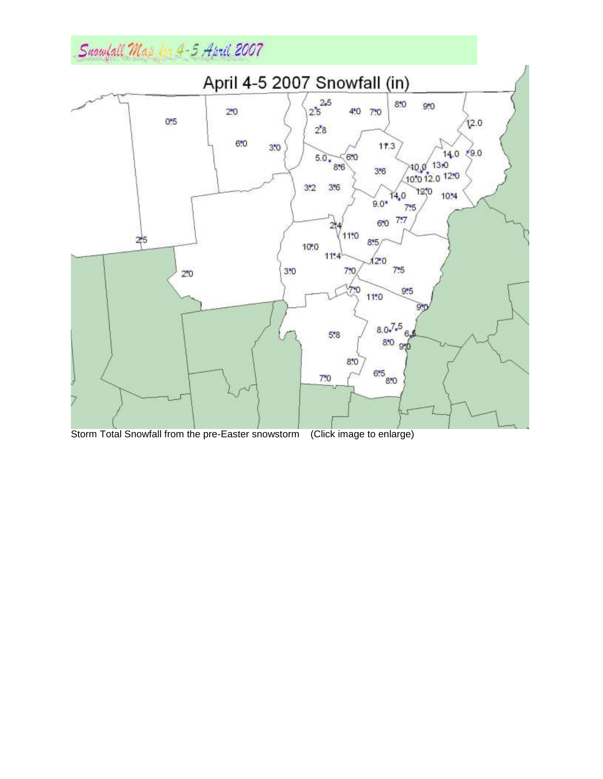# Snowfall Map 1 4-5 April 2007



Storm Total Snowfall from the pre-Easter snowstorm (Click image to enlarge)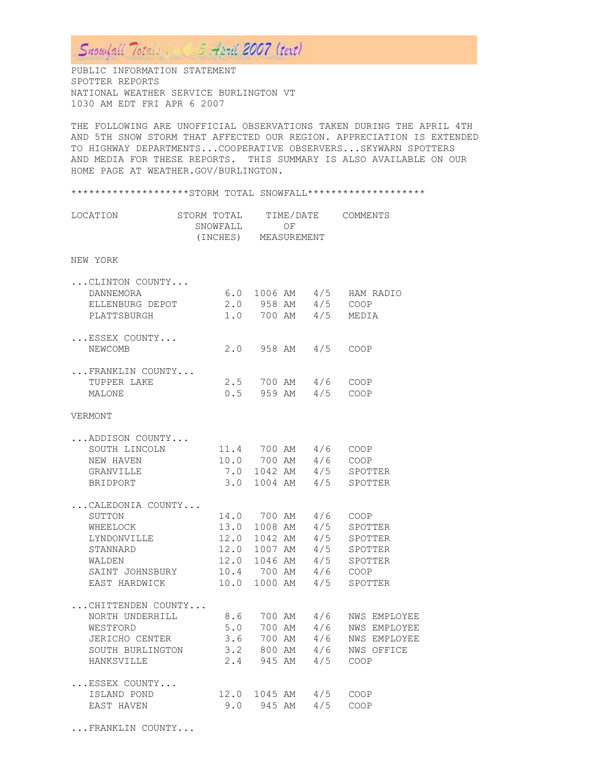## Suomfall Totale (1898 3 April 2007 (text)

PUBLIC INFORMATION STATEMENT SPOTTER REPORTS NATIONAL WEATHER SERVICE BURLINGTON VT 1030 AM EDT FRI APR 6 2007

THE FOLLOWING ARE UNOFFICIAL OBSERVATIONS TAKEN DURING THE APRIL 4TH AND 5TH SNOW STORM THAT AFFECTED OUR REGION. APPRECIATION IS EXTENDED TO HIGHWAY DEPARTMENTS...COOPERATIVE OBSERVERS...SKYWARN SPOTTERS AND MEDIA FOR THESE REPORTS. THIS SUMMARY IS ALSO AVAILABLE ON OUR HOME PAGE AT WEATHER.GOV/BURLINGTON.

#### \*\*\*\*\*\*\*\*\*\*\*\*\*\*\*\*\*\*\*STORM TOTAL SNOWFALL\*\*\*\*\*\*\*\*\*\*\*\*\*\*\*\*\*\*\*\*

| LOCATION | STORM TOTAL | TIME/DATE   | COMMENTS |
|----------|-------------|-------------|----------|
|          | SNOWFALL    | OF.         |          |
|          | (INCHES)    | MEASUREMENT |          |
|          |             |             |          |

### NEW YORK

| $\ldots$ CLINTON COUNTY |     |           |     |           |
|-------------------------|-----|-----------|-----|-----------|
| <b>DANNEMORA</b>        | 6.0 | 1006 AM   | 4/5 | HAM RADIO |
| ELLENBURG DEPOT         | 2.0 | 958 AM    | 4/5 | COOP      |
| PLATTSBURGH             | 1.0 | 700 AM    | 4/5 | MEDIA     |
| ESSEX COUNTY            |     |           |     |           |
| NEWCOMB                 | 2.0 | 958 AM    | 4/5 | COOP      |
| FRANKLIN COUNTY         |     |           |     |           |
| TUPPER LAKE             | 2.5 | 700 AM    | 4/6 | COOP      |
| MALONE                  | 0.5 | 959<br>AM | 4/5 | COOP      |

#### VERMONT

|  |     | $4/6$ COOP                                                                                                                                                                                                                                                                                                                                                                                                          |
|--|-----|---------------------------------------------------------------------------------------------------------------------------------------------------------------------------------------------------------------------------------------------------------------------------------------------------------------------------------------------------------------------------------------------------------------------|
|  |     | SPOTTER                                                                                                                                                                                                                                                                                                                                                                                                             |
|  |     | SPOTTER                                                                                                                                                                                                                                                                                                                                                                                                             |
|  |     |                                                                                                                                                                                                                                                                                                                                                                                                                     |
|  |     | COOP                                                                                                                                                                                                                                                                                                                                                                                                                |
|  | 4/5 | SPOTTER                                                                                                                                                                                                                                                                                                                                                                                                             |
|  | 4/5 | SPOTTER                                                                                                                                                                                                                                                                                                                                                                                                             |
|  |     | SPOTTER                                                                                                                                                                                                                                                                                                                                                                                                             |
|  |     | SPOTTER                                                                                                                                                                                                                                                                                                                                                                                                             |
|  |     |                                                                                                                                                                                                                                                                                                                                                                                                                     |
|  |     | SPOTTER                                                                                                                                                                                                                                                                                                                                                                                                             |
|  |     |                                                                                                                                                                                                                                                                                                                                                                                                                     |
|  |     |                                                                                                                                                                                                                                                                                                                                                                                                                     |
|  | 4/6 | NWS EMPLOYEE                                                                                                                                                                                                                                                                                                                                                                                                        |
|  | 4/6 | <b>NWS EMPLOYEE</b>                                                                                                                                                                                                                                                                                                                                                                                                 |
|  | 4/6 | NWS OFFICE                                                                                                                                                                                                                                                                                                                                                                                                          |
|  | 4/5 | COOP                                                                                                                                                                                                                                                                                                                                                                                                                |
|  |     |                                                                                                                                                                                                                                                                                                                                                                                                                     |
|  |     |                                                                                                                                                                                                                                                                                                                                                                                                                     |
|  |     | COOP                                                                                                                                                                                                                                                                                                                                                                                                                |
|  |     | SOUTH LINCOLN 11.4 700 AM 4/6 COOP<br>10.0 700 AM<br>7.0 1042 AM 4/5<br>$3.0$ 1004 AM $4/5$<br>14.0 700 AM 4/6<br>13.0 1008 AM<br>12.0 1042 AM<br>12.0 1007 AM 4/5<br>12.0 1046 AM 4/5<br>SAINT JOHNSBURY 10.4 700 AM 4/6 COOP<br>EAST HARDWICK 10.0 1000 AM 4/5<br>8.6 700 AM 4/6 NWS EMPLOYEE<br>5.0 700 AM<br>JERICHO CENTER 3.6 700 AM<br>3.2 800 AM<br>2.4 945 AM<br>12.0 1045 AM 4/5 COOP<br>9.0 945 AM $4/5$ |

...FRANKLIN COUNTY...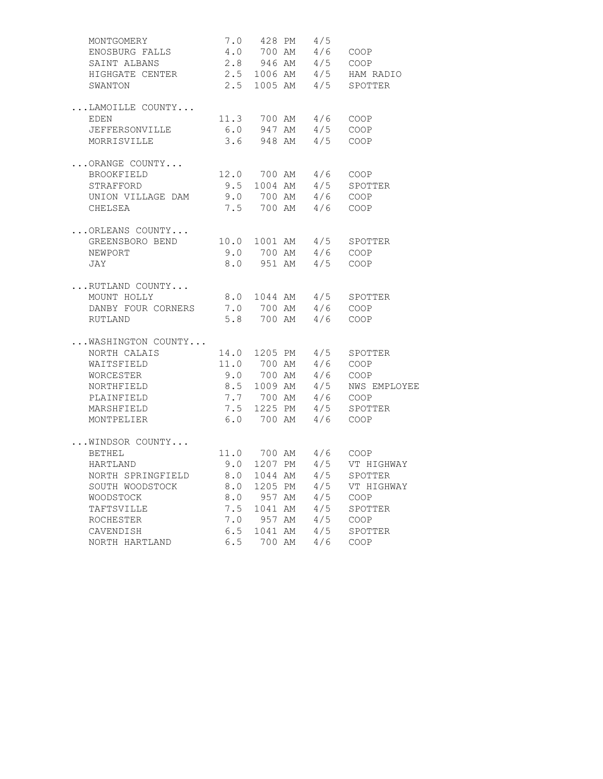| MONTGOMERY         |     |        | 7.0 428 PM 4/5                              |                                                    |
|--------------------|-----|--------|---------------------------------------------|----------------------------------------------------|
| ENOSBURG FALLS     |     |        | 4.0 700 AM 4/6 COOP                         |                                                    |
| SAINT ALBANS       |     |        |                                             | 2.8 946 AM 4/5 COOP<br>2.5 1006 AM 4/5 HAM RADIO   |
| HIGHGATE CENTER    |     |        |                                             |                                                    |
| SWANTON            |     |        |                                             | 2.5 1005 AM 4/5 SPOTTER                            |
| LAMOILLE COUNTY    |     |        |                                             |                                                    |
| EDEN               |     |        | 11.3 700 AM 4/6 COOP                        |                                                    |
| JEFFERSONVILLE     | 6.0 |        | 947 AM 4/5 COOP                             |                                                    |
| MORRISVILLE        |     |        | $3.6$ 948 AM $4/5$ COOP                     |                                                    |
| ORANGE COUNTY      |     |        |                                             |                                                    |
| BROOKFIELD         |     |        | 12.0 700 AM 4/6 COOP                        |                                                    |
| STRAFFORD          |     |        |                                             | 9.5 1004 AM 4/5 SPOTTER<br>9.0 700 AM 4/6 COOP     |
| UNION VILLAGE DAM  |     |        |                                             |                                                    |
| CHELSEA            |     |        | 7.5 700 AM 4/6 COOP                         |                                                    |
| ORLEANS COUNTY     |     |        |                                             |                                                    |
| GREENSBORO BEND    |     |        |                                             |                                                    |
| NEWPORT            |     |        |                                             |                                                    |
| JAY                |     |        | 8.0 951 AM 4/5 COOP                         |                                                    |
| RUTLAND COUNTY     |     |        |                                             |                                                    |
| MOUNT HOLLY        |     |        |                                             | 8.0 1044 AM 4/5 SPOTTER                            |
| DANBY FOUR CORNERS |     |        | 7.0 700 AM 4/6 COOP<br>5.8 700 AM 4/6 COOP  |                                                    |
| RUTLAND            |     |        |                                             |                                                    |
| WASHINGTON COUNTY  |     |        |                                             |                                                    |
| NORTH CALAIS       |     |        |                                             | 14.0 1205 PM 4/5 SPOTTER                           |
| WAITSFIELD         |     |        | 11.0 700 AM 4/6 COOP<br>9.0 700 AM 4/6 COOP |                                                    |
| WORCESTER          |     |        |                                             |                                                    |
| NORTHFIELD         |     |        |                                             | 8.5 1009 AM 4/5 NWS EMPLOYEE                       |
| PLAINFIELD         |     |        |                                             | 7.7 700 AM 4/6 COOP<br>7.5 1225 PM 4/5 SPOTTER     |
| MARSHFIELD         |     |        |                                             |                                                    |
| MONTPELIER         |     |        | 6.0 700 AM 4/6 COOP                         |                                                    |
| WINDSOR COUNTY     |     |        |                                             |                                                    |
| <b>BETHEL</b>      |     |        |                                             | 11.0 700 AM 4/6 COOP<br>9.0 1207 PM 4/5 VT HIGHWAY |
| HARTLAND           |     |        |                                             |                                                    |
| NORTH SPRINGFIELD  | 8.0 |        |                                             | 1044 AM 4/5 SPOTTER                                |
| SOUTH WOODSTOCK    |     |        |                                             | 8.0 1205 PM 4/5 VT HIGHWAY<br>8.0 957 AM 4/5 COOP  |
| WOODSTOCK          |     |        |                                             |                                                    |
| TAFTSVILLE         |     |        |                                             | 7.5 1041 AM 4/5 SPOTTER                            |
| ROCHESTER          |     |        |                                             | 7.0 957 AM 4/5 COOP<br>6.5 1041 AM 4/5 SPOTTER     |
| CAVENDISH          |     |        |                                             |                                                    |
| NORTH HARTLAND     | 6.5 | 700 AM | 4/6                                         | COOP                                               |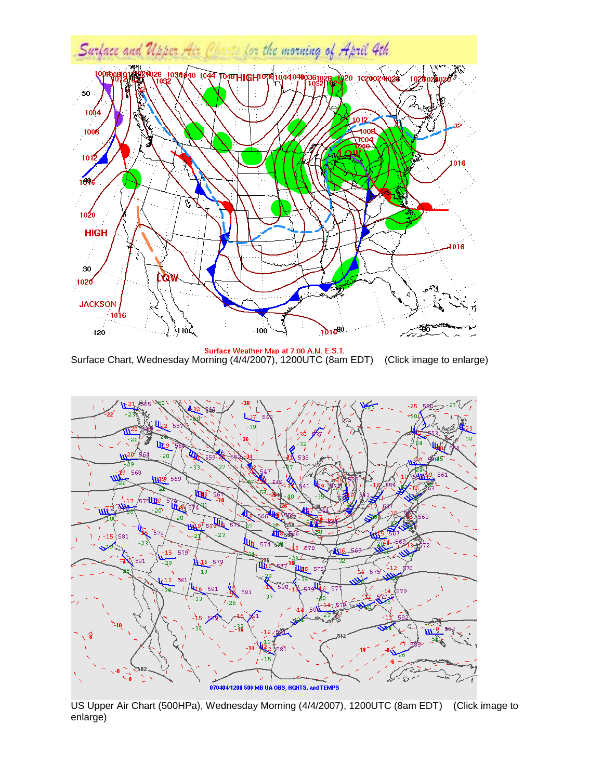

Surface Weather Map at 7:00 A.M. E.S.T. Surface Chart, Wednesday Morning (4/4/2007), 1200UTC (8am EDT) (Click image to enlarge)



US Upper Air Chart (500HPa), Wednesday Morning (4/4/2007), 1200UTC (8am EDT) (Click image to enlarge)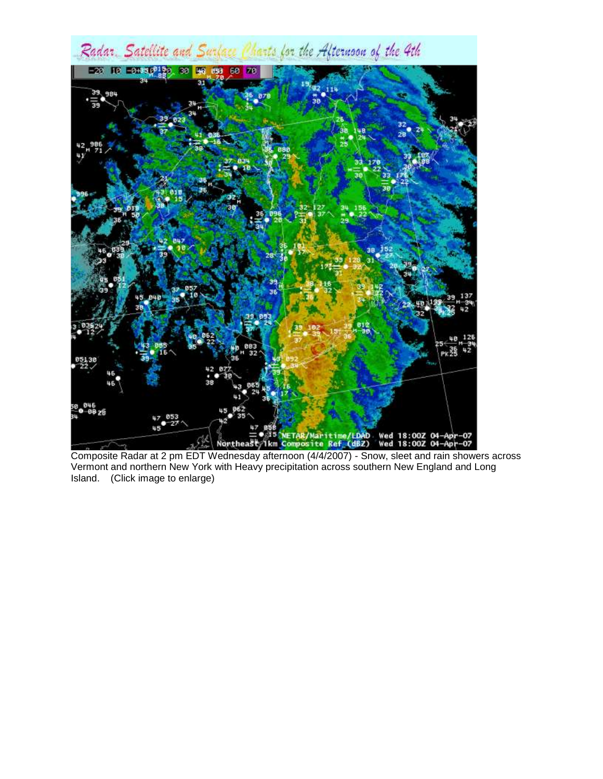

Composite Radar at 2 pm EDT Wednesday afternoon (4/4/2007) - Snow, sleet and rain showers across Vermont and northern New York with Heavy precipitation across southern New England and Long Island. (Click image to enlarge)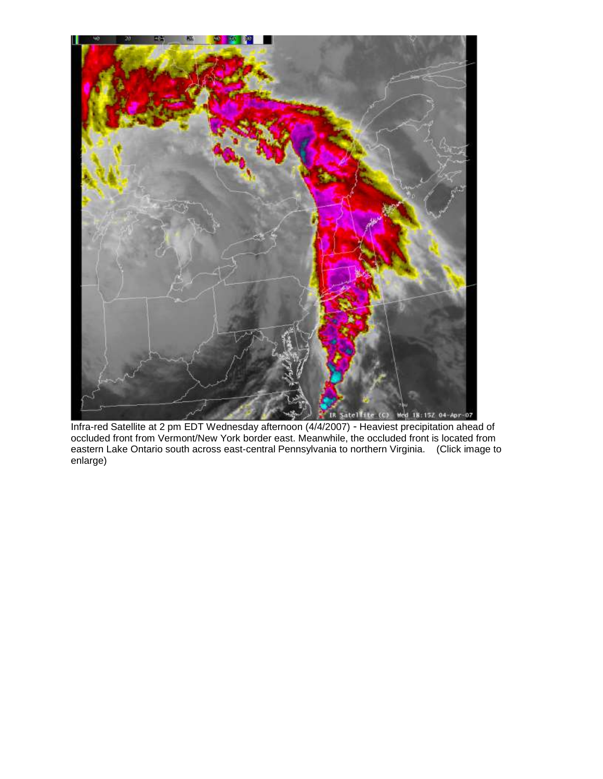

Infra-red Satellite at 2 pm EDT Wednesday afternoon (4/4/2007) - Heaviest precipitation ahead of occluded front from Vermont/New York border east. Meanwhile, the occluded front is located from eastern Lake Ontario south across east-central Pennsylvania to northern Virginia. (Click image to enlarge)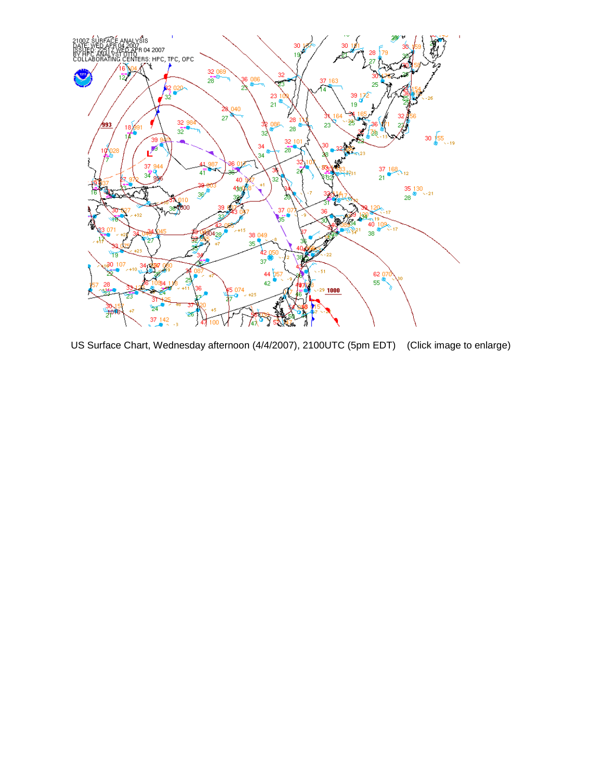

US Surface Chart, Wednesday afternoon (4/4/2007), 2100UTC (5pm EDT) (Click image to enlarge)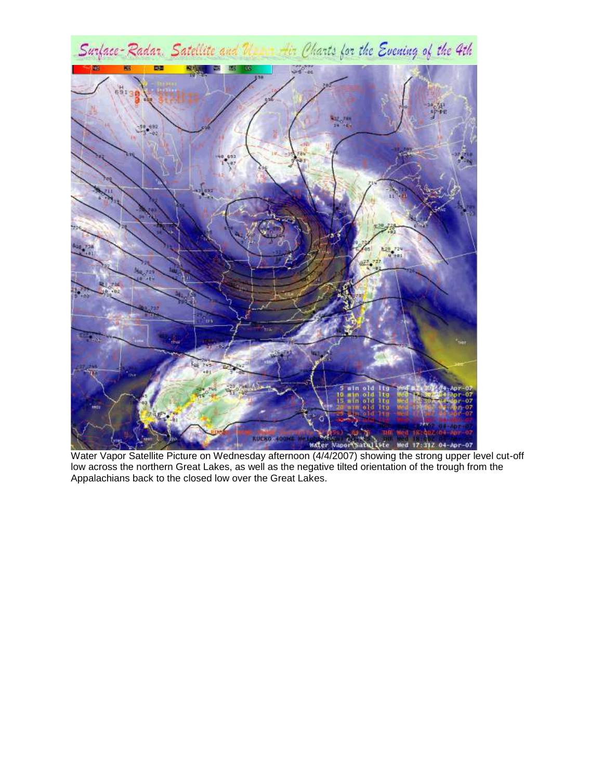

Water Vapor Satellite Picture on Wednesday afternoon (4/4/2007) showing the strong upper level cut-off Water Vapor Satellite Picture on Wednesday afternoon (4/4/2007) showing the strong upper level cut-off low across the northern Great Lakes, as well as the negative tilted orientation of the trough from the Appalachians back to the closed low over the Great Lakes.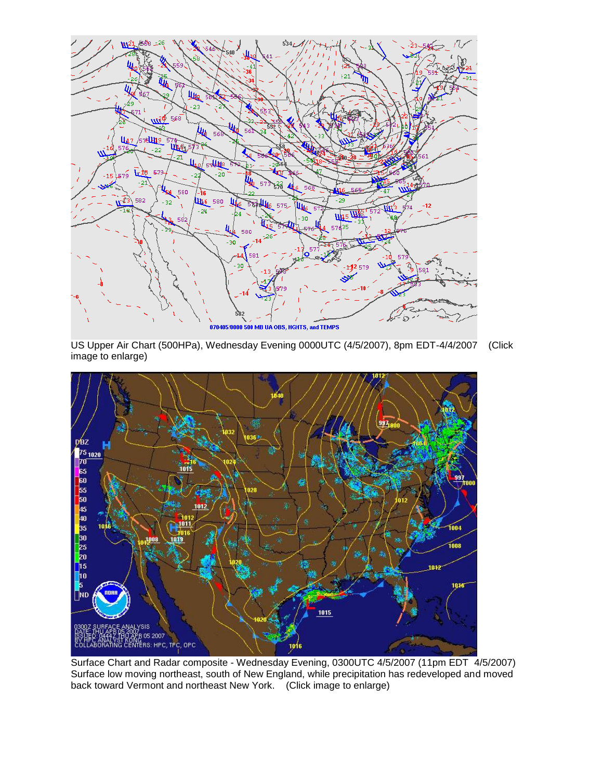

US Upper Air Chart (500HPa), Wednesday Evening 0000UTC (4/5/2007), 8pm EDT-4/4/2007 (Click image to enlarge)



Surface Chart and Radar composite - Wednesday Evening, 0300UTC 4/5/2007 (11pm EDT 4/5/2007) Surface low moving northeast, south of New England, while precipitation has redeveloped and moved back toward Vermont and northeast New York. (Click image to enlarge)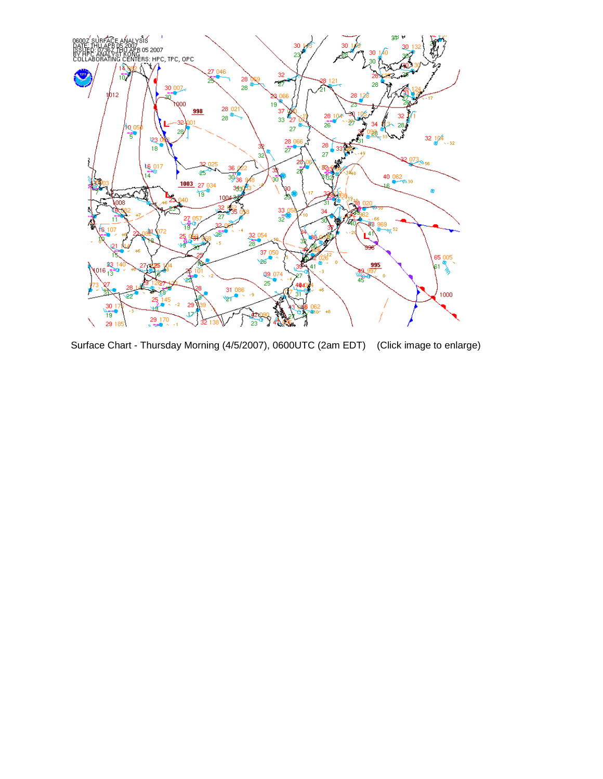

Surface Chart - Thursday Morning (4/5/2007), 0600UTC (2am EDT) (Click image to enlarge)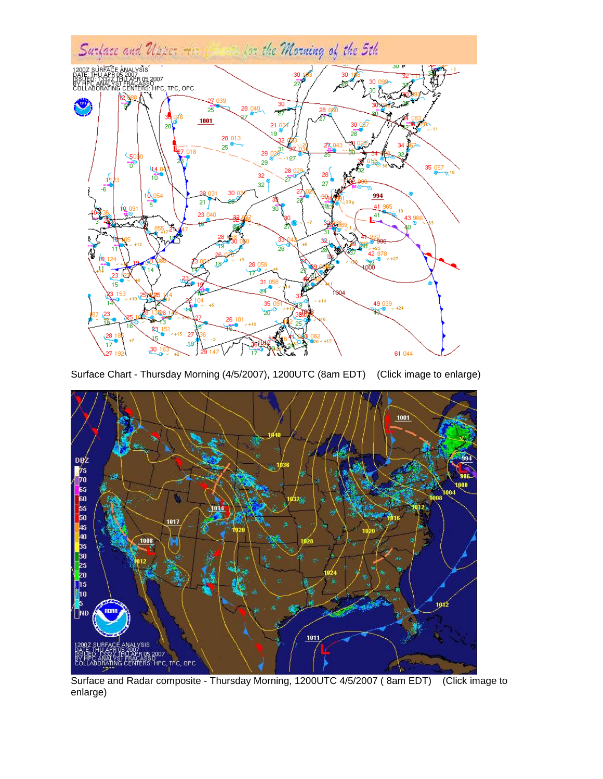

Surface Chart - Thursday Morning (4/5/2007), 1200UTC (8am EDT) (Click image to enlarge)



Surface and Radar composite - Thursday Morning, 1200UTC 4/5/2007 ( 8am EDT) (Click image to enlarge)